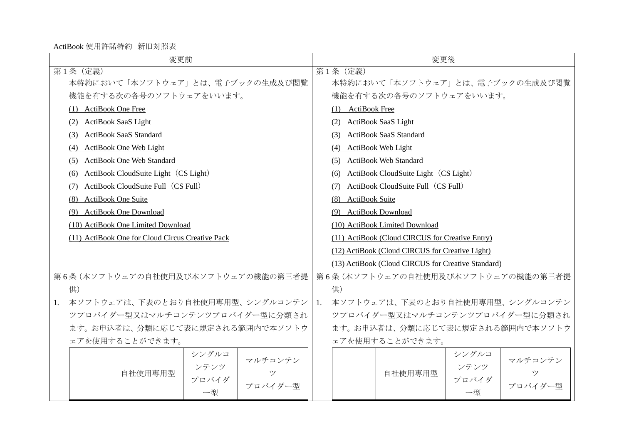ActiBook 使用許諾特約 新旧対照表

| 変更前                                              | 変更後                                                |  |  |  |  |  |  |
|--------------------------------------------------|----------------------------------------------------|--|--|--|--|--|--|
| 第1条 (定義)                                         | 第1条 (定義)                                           |  |  |  |  |  |  |
| 本特約において「本ソフトウェア」とは、電子ブックの生成及び閲覧                  | 本特約において「本ソフトウェア」とは、電子ブックの生成及び閲覧                    |  |  |  |  |  |  |
| 機能を有する次の各号のソフトウェアをいいます。                          | 機能を有する次の各号のソフトウェアをいいます。                            |  |  |  |  |  |  |
| (1) ActiBook One Free                            | (1) ActiBook Free                                  |  |  |  |  |  |  |
| <b>ActiBook SaaS Light</b><br>(2)                | (2) ActiBook SaaS Light                            |  |  |  |  |  |  |
| <b>ActiBook SaaS Standard</b><br>(3)             | <b>ActiBook SaaS Standard</b><br>(3)               |  |  |  |  |  |  |
| ActiBook One Web Light<br>(4)                    | ActiBook Web Light<br>(4)                          |  |  |  |  |  |  |
| ActiBook One Web Standard<br>(5)                 | (5) ActiBook Web Standard                          |  |  |  |  |  |  |
| ActiBook CloudSuite Light (CS Light)<br>(6)      | (6) ActiBook CloudSuite Light (CS Light)           |  |  |  |  |  |  |
| ActiBook CloudSuite Full (CS Full)<br>(7)        | ActiBook CloudSuite Full (CS Full)<br>(7)          |  |  |  |  |  |  |
| ActiBook One Suite<br>(8)                        | (8) ActiBook Suite                                 |  |  |  |  |  |  |
| (9) ActiBook One Download                        | (9) ActiBook Download                              |  |  |  |  |  |  |
| (10) ActiBook One Limited Download               | (10) ActiBook Limited Download                     |  |  |  |  |  |  |
| (11) ActiBook One for Cloud Circus Creative Pack | (11) ActiBook (Cloud CIRCUS for Creative Entry)    |  |  |  |  |  |  |
|                                                  | (12) ActiBook (Cloud CIRCUS for Creative Light)    |  |  |  |  |  |  |
|                                                  | (13) ActiBook (Cloud CIRCUS for Creative Standard) |  |  |  |  |  |  |
| 第6条(本ソフトウェアの自社使用及び本ソフトウェアの機能の第三者提                | 第6条(本ソフトウェアの自社使用及び本ソフトウェアの機能の第三者提                  |  |  |  |  |  |  |
| 供)                                               | 供)                                                 |  |  |  |  |  |  |
| 本ソフトウェアは、下表のとおり自社使用専用型、シングルコンテン<br>1.            | 1. 本ソフトウェアは、下表のとおり自社使用専用型、シングルコンテン                 |  |  |  |  |  |  |
| ツプロバイダー型又はマルチコンテンツプロバイダー型に分類され                   | ツプロバイダー型又はマルチコンテンツプロバイダー型に分類され                     |  |  |  |  |  |  |
| ます。お申込者は、分類に応じて表に規定される範囲内で本ソフトウ                  | ます。お申込者は、分類に応じて表に規定される範囲内で本ソフトウ                    |  |  |  |  |  |  |
| ェアを使用することができます。                                  | ェアを使用することができます。                                    |  |  |  |  |  |  |
| シングルコ<br>マルチコンテン                                 | シングルコ<br>マルチコンテン                                   |  |  |  |  |  |  |
| ンテンツ<br>自社使用専用型<br>ツ                             | ンテンツ<br>自社使用専用型<br>ツ                               |  |  |  |  |  |  |
| プロバイダ<br>プロバイダー型                                 | プロバイダ<br>プロバイダー型                                   |  |  |  |  |  |  |
| 一型                                               | 一型                                                 |  |  |  |  |  |  |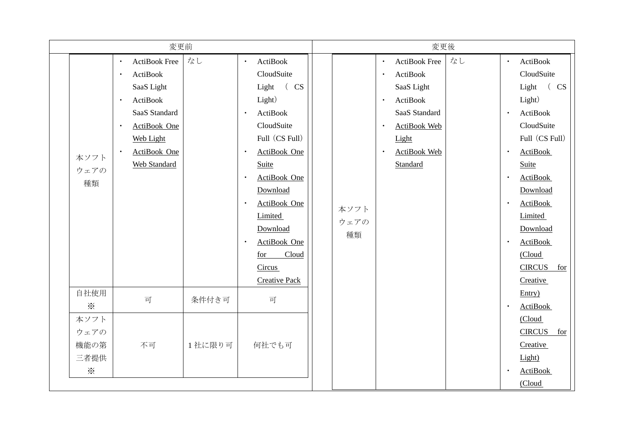| 変更前 |                                          |                                                                                                                                                                                                                         |        | 変更後                                                                                                                                                                                                                                                                                                                       |  |                    |                                                               |                                                                                                                                  |    |                                                               |                                                                                                                                                                                                                                                                     |
|-----|------------------------------------------|-------------------------------------------------------------------------------------------------------------------------------------------------------------------------------------------------------------------------|--------|---------------------------------------------------------------------------------------------------------------------------------------------------------------------------------------------------------------------------------------------------------------------------------------------------------------------------|--|--------------------|---------------------------------------------------------------|----------------------------------------------------------------------------------------------------------------------------------|----|---------------------------------------------------------------|---------------------------------------------------------------------------------------------------------------------------------------------------------------------------------------------------------------------------------------------------------------------|
|     | 本ソフト<br>ウェアの<br>種類                       | <b>ActiBook Free</b><br>$\bullet$<br>ActiBook<br>$\bullet$<br>SaaS Light<br>ActiBook<br>$\bullet$<br>SaaS Standard<br>ActiBook One<br>$\bullet$<br><b>Web Light</b><br>ActiBook One<br>$\bullet$<br><b>Web Standard</b> | なし     | ActiBook<br>$\bullet$<br>CloudSuite<br>Light (CS<br>Light)<br>ActiBook<br>$\bullet$<br>CloudSuite<br>Full (CS Full)<br>ActiBook One<br><b>Suite</b><br>ActiBook One<br>$\bullet$<br>Download<br>ActiBook One<br>$\bullet$<br>Limited<br>Download<br>ActiBook One<br>Cloud<br>for<br><b>Circus</b><br><b>Creative Pack</b> |  | 本ソフト<br>ウェアの<br>種類 | $\bullet$<br>$\bullet$<br>$\bullet$<br>$\bullet$<br>$\bullet$ | <b>ActiBook Free</b><br>ActiBook<br>SaaS Light<br>ActiBook<br>SaaS Standard<br>ActiBook Web<br>Light<br>ActiBook Web<br>Standard | なし | $\bullet$<br>$\bullet$<br>$\bullet$<br>$\bullet$<br>$\bullet$ | ActiBook<br>CloudSuite<br>(CS)<br>Light<br>Light)<br>ActiBook<br>CloudSuite<br>Full (CS Full)<br><b>ActiBook</b><br>Suite<br><b>ActiBook</b><br>Download<br><b>ActiBook</b><br>Limited<br>Download<br><b>ActiBook</b><br>(Cloud<br><b>CIRCUS</b><br>for<br>Creative |
|     | 自社使用<br>$\ddot{\times}$                  | 可                                                                                                                                                                                                                       | 条件付き可  | 可                                                                                                                                                                                                                                                                                                                         |  |                    |                                                               |                                                                                                                                  |    | $\bullet$                                                     | Entry)<br><b>ActiBook</b>                                                                                                                                                                                                                                           |
|     | 本ソフト<br>ウェアの<br>機能の第<br>三者提供<br>$\times$ | 不可                                                                                                                                                                                                                      | 1社に限り可 | 何社でも可                                                                                                                                                                                                                                                                                                                     |  |                    |                                                               |                                                                                                                                  |    | $\bullet$                                                     | (Cloud<br><b>CIRCUS</b><br>for<br>Creative<br>Light)<br><b>ActiBook</b><br>(Cloud                                                                                                                                                                                   |